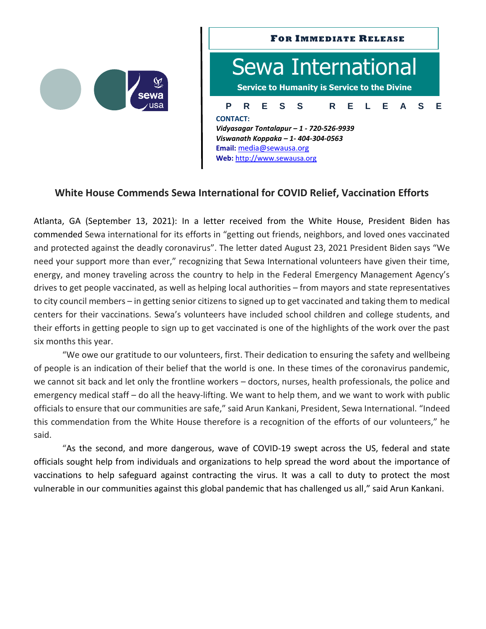

## **P R E S S R E L E A S E FOR IMMEDIATE RELEASE** Sewa International **Service to Humanity is Service to the Divine CONTACT:** *Vidyasagar Tontalapur – 1 - 720-526-9939 Viswanath Koppaka – 1- 404-304-0563* **Email:** [media@sewausa.org](mailto:dr@sewausa.org) **Web:** [http://www.sewausa.org](http://www.sewausa.org/)

## **White House Commends Sewa International for COVID Relief, Vaccination Efforts**

Atlanta, GA (September 13, 2021): In a letter received from the White House, President Biden has commended Sewa international for its efforts in "getting out friends, neighbors, and loved ones vaccinated and protected against the deadly coronavirus". The letter dated August 23, 2021 President Biden says "We need your support more than ever," recognizing that Sewa International volunteers have given their time, energy, and money traveling across the country to help in the Federal Emergency Management Agency's drives to get people vaccinated, as well as helping local authorities – from mayors and state representatives to city council members – in getting senior citizens to signed up to get vaccinated and taking them to medical centers for their vaccinations. Sewa's volunteers have included school children and college students, and their efforts in getting people to sign up to get vaccinated is one of the highlights of the work over the past six months this year.

"We owe our gratitude to our volunteers, first. Their dedication to ensuring the safety and wellbeing of people is an indication of their belief that the world is one. In these times of the coronavirus pandemic, we cannot sit back and let only the frontline workers – doctors, nurses, health professionals, the police and emergency medical staff – do all the heavy-lifting. We want to help them, and we want to work with public officials to ensure that our communities are safe," said Arun Kankani, President, Sewa International. "Indeed this commendation from the White House therefore is a recognition of the efforts of our volunteers," he said.

"As the second, and more dangerous, wave of COVID-19 swept across the US, federal and state officials sought help from individuals and organizations to help spread the word about the importance of vaccinations to help safeguard against contracting the virus. It was a call to duty to protect the most vulnerable in our communities against this global pandemic that has challenged us all," said Arun Kankani.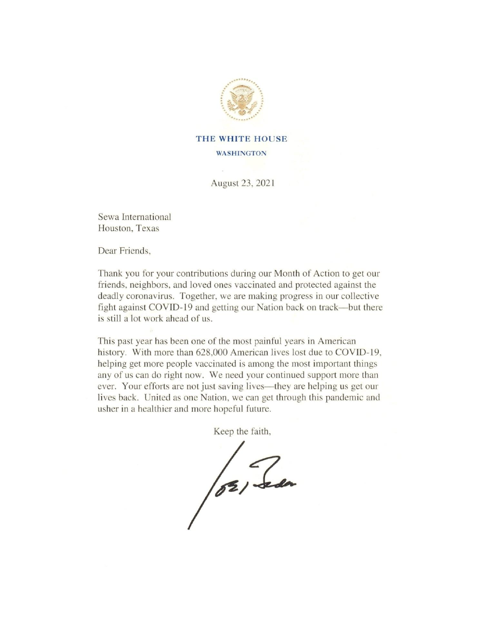

## THE WHITE HOUSE **WASHINGTON**

August 23, 2021

Sewa International Houston, Texas

Dear Friends.

Thank you for your contributions during our Month of Action to get our friends, neighbors, and loved ones vaccinated and protected against the deadly coronavirus. Together, we are making progress in our collective fight against COVID-19 and getting our Nation back on track—but there is still a lot work ahead of us.

This past year has been one of the most painful years in American history. With more than 628,000 American lives lost due to COVID-19, helping get more people vaccinated is among the most important things any of us can do right now. We need your continued support more than ever. Your efforts are not just saving lives—they are helping us get our lives back. United as one Nation, we can get through this pandemic and usher in a healthier and more hopeful future.

Keep the faith,

/02/ Seda